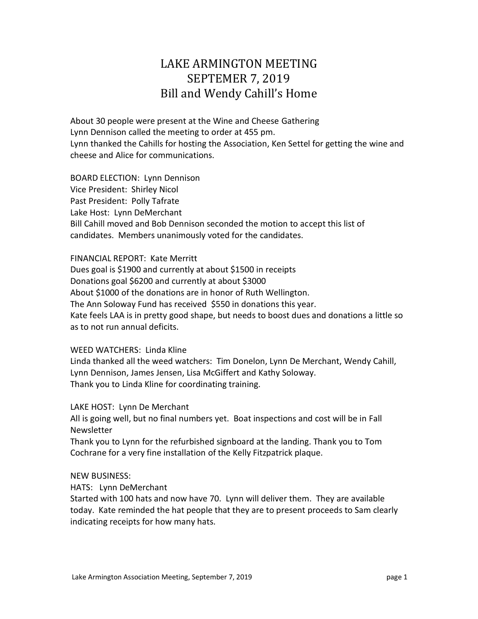## LAKE ARMINGTON MEETING SEPTEMER 7, 2019 Bill and Wendy Cahill's Home

About 30 people were present at the Wine and Cheese Gathering Lynn Dennison called the meeting to order at 455 pm. Lynn thanked the Cahills for hosting the Association, Ken Settel for getting the wine and cheese and Alice for communications.

BOARD ELECTION: Lynn Dennison Vice President: Shirley Nicol Past President: Polly Tafrate Lake Host: Lynn DeMerchant Bill Cahill moved and Bob Dennison seconded the motion to accept this list of candidates. Members unanimously voted for the candidates.

FINANCIAL REPORT: Kate Merritt

Dues goal is \$1900 and currently at about \$1500 in receipts Donations goal \$6200 and currently at about \$3000 About \$1000 of the donations are in honor of Ruth Wellington. The Ann Soloway Fund has received \$550 in donations this year. Kate feels LAA is in pretty good shape, but needs to boost dues and donations a little so as to not run annual deficits.

## WEED WATCHERS: Linda Kline

Linda thanked all the weed watchers: Tim Donelon, Lynn De Merchant, Wendy Cahill, Lynn Dennison, James Jensen, Lisa McGiffert and Kathy Soloway. Thank you to Linda Kline for coordinating training.

LAKE HOST: Lynn De Merchant

All is going well, but no final numbers yet. Boat inspections and cost will be in Fall **Newsletter** 

Thank you to Lynn for the refurbished signboard at the landing. Thank you to Tom Cochrane for a very fine installation of the Kelly Fitzpatrick plaque.

## NEW BUSINESS:

HATS: Lynn DeMerchant

Started with 100 hats and now have 70. Lynn will deliver them. They are available today. Kate reminded the hat people that they are to present proceeds to Sam clearly indicating receipts for how many hats.